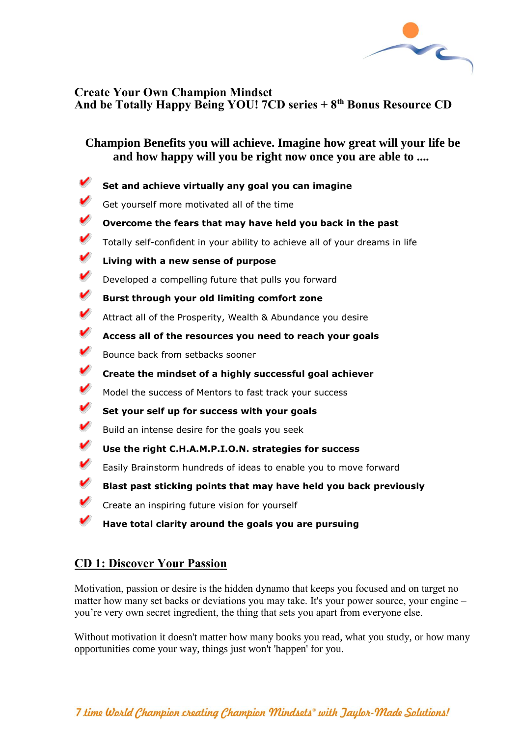

## **Create Your Own Champion Mindset And be Totally Happy Being YOU! 7CD series + 8th Bonus Resource CD**

# **Champion Benefits you will achieve. Imagine how great will your life be and how happy will you be right now once you are able to ....**

- ↙ **Set and achieve virtually any goal you can imagine** v Get yourself more motivated all of the time ✓ **Overcome the fears that may have held you back in the past** ✓ Totally self-confident in your ability to achieve all of your dreams in life ✓ **Living with a new sense of purpose** V Developed a compelling future that pulls you forward v **Burst through your old limiting comfort zone** v Attract all of the Prosperity, Wealth & Abundance you desire v **Access all of the resources you need to reach your goals** v Bounce back from setbacks sooner ✓ **Create the mindset of a highly successful goal achiever** v Model the success of Mentors to fast track your success v **Set your self up for success with your goals** v Build an intense desire for the goals you seek V **Use the right C.H.A.M.P.I.O.N. strategies for success** v Easily Brainstorm hundreds of ideas to enable you to move forward v **Blast past sticking points that may have held you back previously** ✓ Create an inspiring future vision for yourself
	- **Have total clarity around the goals you are pursuing**

# **CD 1: Discover Your Passion**

Motivation, passion or desire is the hidden dynamo that keeps you focused and on target no matter how many set backs or deviations you may take. It's your power source, your engine – you're very own secret ingredient, the thing that sets you apart from everyone else.

Without motivation it doesn't matter how many books you read, what you study, or how many opportunities come your way, things just won't 'happen' for you.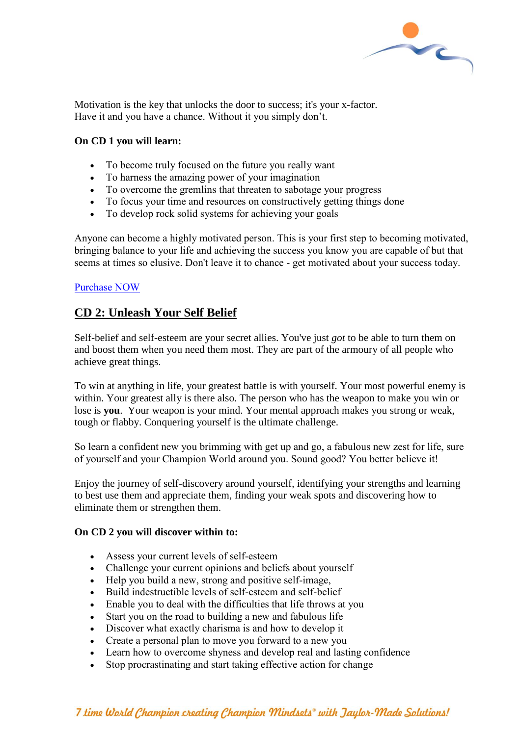

Motivation is the key that unlocks the door to success; it's your x-factor. Have it and you have a chance. Without it you simply don't.

#### **On CD 1 you will learn:**

- To become truly focused on the future you really want
- To harness the amazing power of your imagination
- To overcome the gremlins that threaten to sabotage your progress
- To focus your time and resources on constructively getting things done
- To develop rock solid systems for achieving your goals

Anyone can become a highly motivated person. This is your first step to becoming motivated, bringing balance to your life and achieving the success you know you are capable of but that seems at times so elusive. Don't leave it to chance - get motivated about your success today.

#### [Purchase NOW](http://openwaterswimmingmastery.com/shop/)

## **CD 2: Unleash Your Self Belief**

Self-belief and self-esteem are your secret allies. You've just *got* to be able to turn them on and boost them when you need them most. They are part of the armoury of all people who achieve great things.

To win at anything in life, your greatest battle is with yourself. Your most powerful enemy is within. Your greatest ally is there also. The person who has the weapon to make you win or lose is **you**. Your weapon is your mind. Your mental approach makes you strong or weak, tough or flabby. Conquering yourself is the ultimate challenge.

So learn a confident new you brimming with get up and go, a fabulous new zest for life, sure of yourself and your Champion World around you. Sound good? You better believe it!

Enjoy the journey of self-discovery around yourself, identifying your strengths and learning to best use them and appreciate them, finding your weak spots and discovering how to eliminate them or strengthen them.

## **On CD 2 you will discover within to:**

- Assess your current levels of self-esteem
- Challenge your current opinions and beliefs about yourself
- Help you build a new, strong and positive self-image,
- Build indestructible levels of self-esteem and self-belief
- Enable you to deal with the difficulties that life throws at you
- Start you on the road to building a new and fabulous life
- Discover what exactly charisma is and how to develop it
- Create a personal plan to move you forward to a new you
- Learn how to overcome shyness and develop real and lasting confidence
- Stop procrastinating and start taking effective action for change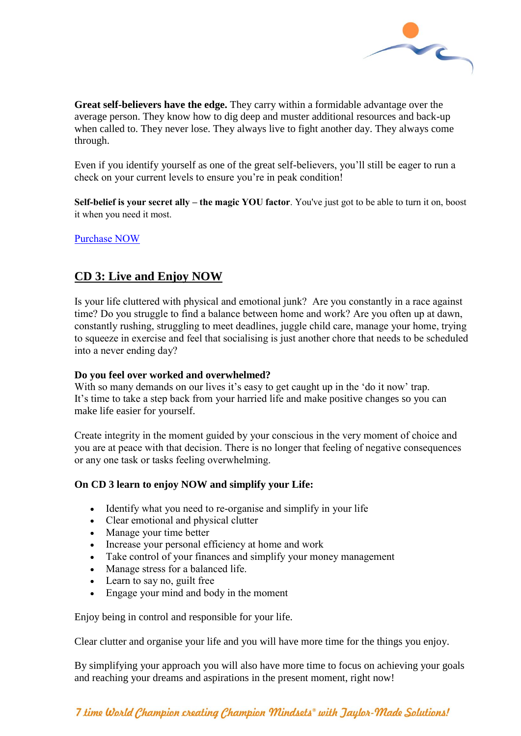

**Great self-believers have the edge.** They carry within a formidable advantage over the average person. They know how to dig deep and muster additional resources and back-up when called to. They never lose. They always live to fight another day. They always come through.

Even if you identify yourself as one of the great self-believers, you'll still be eager to run a check on your current levels to ensure you're in peak condition!

**Self-belief is your secret ally – the magic YOU factor**. You've just got to be able to turn it on, boost it when you need it most.

[Purchase NOW](http://openwaterswimmingmastery.com/shop/)

# **CD 3: Live and Enjoy NOW**

Is your life cluttered with physical and emotional junk? Are you constantly in a race against time? Do you struggle to find a balance between home and work? Are you often up at dawn, constantly rushing, struggling to meet deadlines, juggle child care, manage your home, trying to squeeze in exercise and feel that socialising is just another chore that needs to be scheduled into a never ending day?

## **Do you feel over worked and overwhelmed?**

With so many demands on our lives it's easy to get caught up in the 'do it now' trap. It's time to take a step back from your harried life and make positive changes so you can make life easier for yourself.

Create integrity in the moment guided by your conscious in the very moment of choice and you are at peace with that decision. There is no longer that feeling of negative consequences or any one task or tasks feeling overwhelming.

## **On CD 3 learn to enjoy NOW and simplify your Life:**

- Identify what you need to re-organise and simplify in your life
- Clear emotional and physical clutter
- Manage your time better
- Increase your personal efficiency at home and work
- Take control of your finances and simplify your money management
- Manage stress for a balanced life.
- Learn to say no, guilt free
- Engage your mind and body in the moment

Enjoy being in control and responsible for your life.

Clear clutter and organise your life and you will have more time for the things you enjoy.

By simplifying your approach you will also have more time to focus on achieving your goals and reaching your dreams and aspirations in the present moment, right now!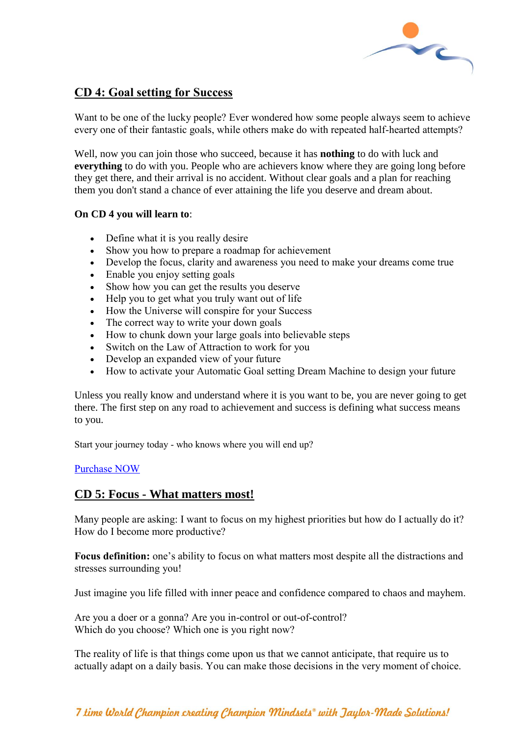

# **CD 4: Goal setting for Success**

Want to be one of the lucky people? Ever wondered how some people always seem to achieve every one of their fantastic goals, while others make do with repeated half-hearted attempts?

Well, now you can join those who succeed, because it has **nothing** to do with luck and **everything** to do with you. People who are achievers know where they are going long before they get there, and their arrival is no accident. Without clear goals and a plan for reaching them you don't stand a chance of ever attaining the life you deserve and dream about.

## **On CD 4 you will learn to**:

- Define what it is you really desire
- Show you how to prepare a roadmap for achievement
- Develop the focus, clarity and awareness you need to make your dreams come true
- Enable you enjoy setting goals
- Show how you can get the results you deserve
- Help you to get what you truly want out of life
- How the Universe will conspire for your Success
- The correct way to write your down goals
- How to chunk down your large goals into believable steps
- Switch on the Law of Attraction to work for you
- Develop an expanded view of your future
- How to activate your Automatic Goal setting Dream Machine to design your future

Unless you really know and understand where it is you want to be, you are never going to get there. The first step on any road to achievement and success is defining what success means to you.

Start your journey today - who knows where you will end up?

## [Purchase NOW](http://openwaterswimmingmastery.com/shop/)

## **CD 5: Focus - What matters most!**

Many people are asking: I want to focus on my highest priorities but how do I actually do it? How do I become more productive?

**Focus definition:** one's ability to focus on what matters most despite all the distractions and stresses surrounding you!

Just imagine you life filled with inner peace and confidence compared to chaos and mayhem.

Are you a doer or a gonna? Are you in-control or out-of-control? Which do you choose? Which one is you right now?

The reality of life is that things come upon us that we cannot anticipate, that require us to actually adapt on a daily basis. You can make those decisions in the very moment of choice.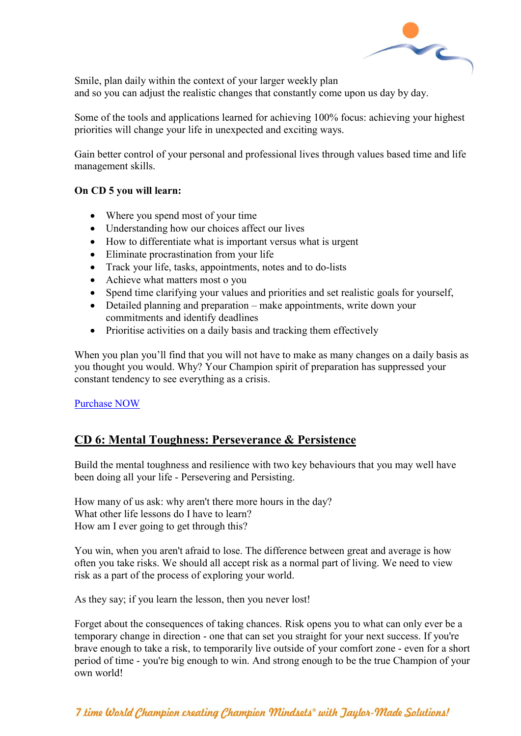

Smile, plan daily within the context of your larger weekly plan and so you can adjust the realistic changes that constantly come upon us day by day.

Some of the tools and applications learned for achieving 100% focus: achieving your highest priorities will change your life in unexpected and exciting ways.

Gain better control of your personal and professional lives through values based time and life management skills.

## **On CD 5 you will learn:**

- Where you spend most of your time
- Understanding how our choices affect our lives
- How to differentiate what is important versus what is urgent
- Eliminate procrastination from your life
- Track your life, tasks, appointments, notes and to do-lists
- Achieve what matters most o you
- Spend time clarifying your values and priorities and set realistic goals for yourself,
- Detailed planning and preparation make appointments, write down your commitments and identify deadlines
- Prioritise activities on a daily basis and tracking them effectively

When you plan you'll find that you will not have to make as many changes on a daily basis as you thought you would. Why? Your Champion spirit of preparation has suppressed your constant tendency to see everything as a crisis.

[Purchase NOW](http://openwaterswimmingmastery.com/shop/)

# **CD 6: Mental Toughness: Perseverance & Persistence**

Build the mental toughness and resilience with two key behaviours that you may well have been doing all your life - Persevering and Persisting.

How many of us ask: why aren't there more hours in the day? What other life lessons do I have to learn? How am I ever going to get through this?

You win, when you aren't afraid to lose. The difference between great and average is how often you take risks. We should all accept risk as a normal part of living. We need to view risk as a part of the process of exploring your world.

As they say; if you learn the lesson, then you never lost!

Forget about the consequences of taking chances. Risk opens you to what can only ever be a temporary change in direction - one that can set you straight for your next success. If you're brave enough to take a risk, to temporarily live outside of your comfort zone - even for a short period of time - you're big enough to win. And strong enough to be the true Champion of your own world!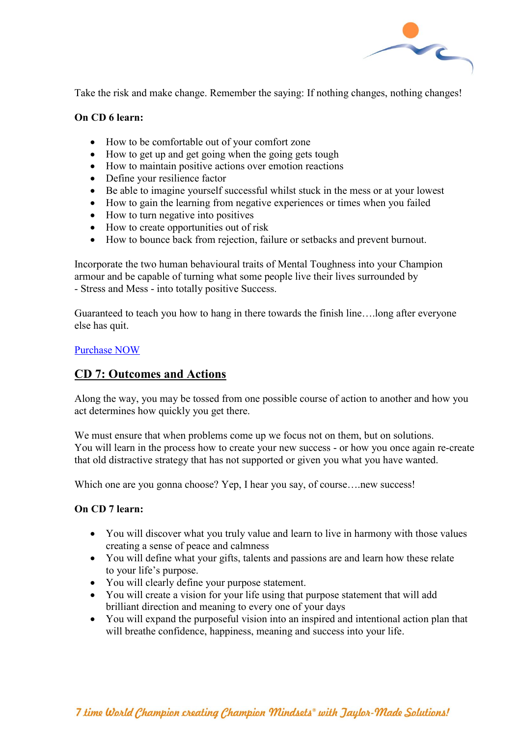

Take the risk and make change. Remember the saying: If nothing changes, nothing changes!

#### **On CD 6 learn:**

- How to be comfortable out of your comfort zone
- How to get up and get going when the going gets tough
- How to maintain positive actions over emotion reactions
- Define your resilience factor
- Be able to imagine yourself successful whilst stuck in the mess or at your lowest
- How to gain the learning from negative experiences or times when you failed
- How to turn negative into positives
- How to create opportunities out of risk
- How to bounce back from rejection, failure or setbacks and prevent burnout.

Incorporate the two human behavioural traits of Mental Toughness into your Champion armour and be capable of turning what some people live their lives surrounded by - Stress and Mess - into totally positive Success.

Guaranteed to teach you how to hang in there towards the finish line….long after everyone else has quit.

#### [Purchase NOW](http://openwaterswimmingmastery.com/shop/)

## **CD 7: Outcomes and Actions**

Along the way, you may be tossed from one possible course of action to another and how you act determines how quickly you get there.

We must ensure that when problems come up we focus not on them, but on solutions. You will learn in the process how to create your new success - or how you once again re-create that old distractive strategy that has not supported or given you what you have wanted.

Which one are you gonna choose? Yep, I hear you say, of course....new success!

#### **On CD 7 learn:**

- You will discover what you truly value and learn to live in harmony with those values creating a sense of peace and calmness
- You will define what your gifts, talents and passions are and learn how these relate to your life's purpose.
- You will clearly define your purpose statement.
- You will create a vision for your life using that purpose statement that will add brilliant direction and meaning to every one of your days
- You will expand the purposeful vision into an inspired and intentional action plan that will breathe confidence, happiness, meaning and success into your life.